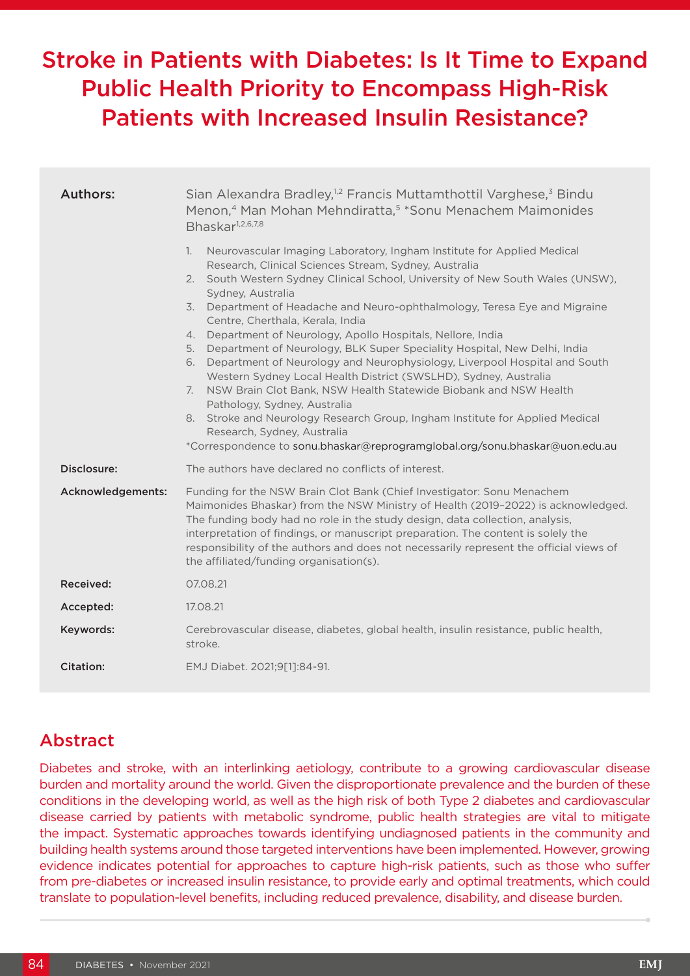# Stroke in Patients with Diabetes: Is It Time to Expand Public Health Priority to Encompass High-Risk Patients with Increased Insulin Resistance?

| <b>Authors:</b>   | Sian Alexandra Bradley, <sup>1,2</sup> Francis Muttamthottil Varghese, <sup>3</sup> Bindu<br>Menon, <sup>4</sup> Man Mohan Mehndiratta, <sup>5</sup> *Sonu Menachem Maimonides<br>Bhaskar <sup>1,2,6,7,8</sup>                                                                                                                                                                                                                                                                                                                                                                                                                                                                                                                                                                                                                                                                                                                                                                        |  |
|-------------------|---------------------------------------------------------------------------------------------------------------------------------------------------------------------------------------------------------------------------------------------------------------------------------------------------------------------------------------------------------------------------------------------------------------------------------------------------------------------------------------------------------------------------------------------------------------------------------------------------------------------------------------------------------------------------------------------------------------------------------------------------------------------------------------------------------------------------------------------------------------------------------------------------------------------------------------------------------------------------------------|--|
|                   | Neurovascular Imaging Laboratory, Ingham Institute for Applied Medical<br>1.<br>Research, Clinical Sciences Stream, Sydney, Australia<br>2. South Western Sydney Clinical School, University of New South Wales (UNSW),<br>Sydney, Australia<br>Department of Headache and Neuro-ophthalmology, Teresa Eye and Migraine<br>3.<br>Centre, Cherthala, Kerala, India<br>Department of Neurology, Apollo Hospitals, Nellore, India<br>4.<br>Department of Neurology, BLK Super Speciality Hospital, New Delhi, India<br>5.<br>Department of Neurology and Neurophysiology, Liverpool Hospital and South<br>6.<br>Western Sydney Local Health District (SWSLHD), Sydney, Australia<br>NSW Brain Clot Bank, NSW Health Statewide Biobank and NSW Health<br>7.<br>Pathology, Sydney, Australia<br>8. Stroke and Neurology Research Group, Ingham Institute for Applied Medical<br>Research, Sydney, Australia<br>*Correspondence to sonu.bhaskar@reprogramglobal.org/sonu.bhaskar@uon.edu.au |  |
| Disclosure:       | The authors have declared no conflicts of interest.                                                                                                                                                                                                                                                                                                                                                                                                                                                                                                                                                                                                                                                                                                                                                                                                                                                                                                                                   |  |
| Acknowledgements: | Funding for the NSW Brain Clot Bank (Chief Investigator: Sonu Menachem<br>Maimonides Bhaskar) from the NSW Ministry of Health (2019-2022) is acknowledged.<br>The funding body had no role in the study design, data collection, analysis,<br>interpretation of findings, or manuscript preparation. The content is solely the<br>responsibility of the authors and does not necessarily represent the official views of<br>the affiliated/funding organisation(s).                                                                                                                                                                                                                                                                                                                                                                                                                                                                                                                   |  |
| Received:         | 07.08.21                                                                                                                                                                                                                                                                                                                                                                                                                                                                                                                                                                                                                                                                                                                                                                                                                                                                                                                                                                              |  |
| Accepted:         | 17.08.21                                                                                                                                                                                                                                                                                                                                                                                                                                                                                                                                                                                                                                                                                                                                                                                                                                                                                                                                                                              |  |
| Keywords:         | Cerebrovascular disease, diabetes, global health, insulin resistance, public health,<br>stroke.                                                                                                                                                                                                                                                                                                                                                                                                                                                                                                                                                                                                                                                                                                                                                                                                                                                                                       |  |
| <b>Citation:</b>  | EMJ Diabet. 2021;9[1]:84-91.                                                                                                                                                                                                                                                                                                                                                                                                                                                                                                                                                                                                                                                                                                                                                                                                                                                                                                                                                          |  |

# Abstract

Diabetes and stroke, with an interlinking aetiology, contribute to a growing cardiovascular disease burden and mortality around the world. Given the disproportionate prevalence and the burden of these conditions in the developing world, as well as the high risk of both Type 2 diabetes and cardiovascular disease carried by patients with metabolic syndrome, public health strategies are vital to mitigate the impact. Systematic approaches towards identifying undiagnosed patients in the community and building health systems around those targeted interventions have been implemented. However, growing evidence indicates potential for approaches to capture high-risk patients, such as those who suffer from pre-diabetes or increased insulin resistance, to provide early and optimal treatments, which could translate to population-level benefits, including reduced prevalence, disability, and disease burden.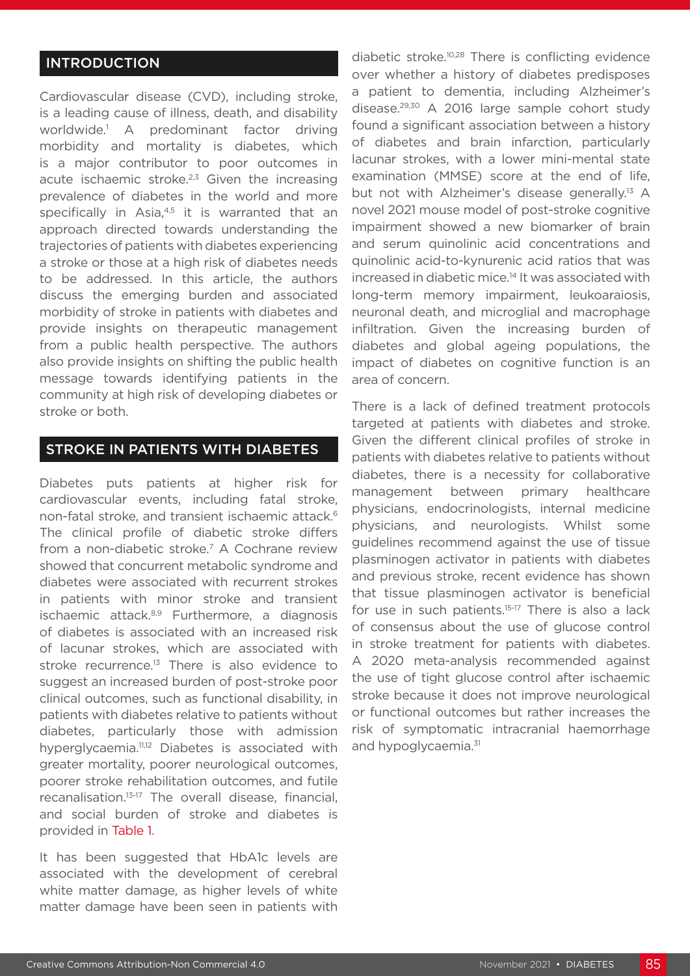#### INTRODUCTION

Cardiovascular disease (CVD), including stroke, is a leading cause of illness, death, and disability worldwide.1 A predominant factor driving morbidity and mortality is diabetes, which is a major contributor to poor outcomes in acute ischaemic stroke. $2,3$  Given the increasing prevalence of diabetes in the world and more specifically in Asia, $4,5$  it is warranted that an approach directed towards understanding the trajectories of patients with diabetes experiencing a stroke or those at a high risk of diabetes needs to be addressed. In this article, the authors discuss the emerging burden and associated morbidity of stroke in patients with diabetes and provide insights on therapeutic management from a public health perspective. The authors also provide insights on shifting the public health message towards identifying patients in the community at high risk of developing diabetes or stroke or both.

#### STROKE IN PATIENTS WITH DIABETES

Diabetes puts patients at higher risk for cardiovascular events, including fatal stroke, non-fatal stroke, and transient ischaemic attack.6 The clinical profile of diabetic stroke differs from a non-diabetic stroke.7 A Cochrane review showed that concurrent metabolic syndrome and diabetes were associated with recurrent strokes in patients with minor stroke and transient ischaemic attack.8,9 Furthermore, a diagnosis of diabetes is associated with an increased risk of lacunar strokes, which are associated with stroke recurrence.<sup>13</sup> There is also evidence to suggest an increased burden of post-stroke poor clinical outcomes, such as functional disability, in patients with diabetes relative to patients without diabetes, particularly those with admission hyperglycaemia.<sup>11,12</sup> Diabetes is associated with greater mortality, poorer neurological outcomes, poorer stroke rehabilitation outcomes, and futile recanalisation.13-17 The overall disease, financial, and social burden of stroke and diabetes is provided in Table 1.

It has been suggested that HbA1c levels are associated with the development of cerebral white matter damage, as higher levels of white matter damage have been seen in patients with

diabetic stroke.10,28 There is conflicting evidence over whether a history of diabetes predisposes a patient to dementia, including Alzheimer's disease.29,30 A 2016 large sample cohort study found a significant association between a history of diabetes and brain infarction, particularly lacunar strokes, with a lower mini-mental state examination (MMSE) score at the end of life, but not with Alzheimer's disease generally.<sup>13</sup> A novel 2021 mouse model of post-stroke cognitive impairment showed a new biomarker of brain and serum quinolinic acid concentrations and quinolinic acid-to-kynurenic acid ratios that was increased in diabetic mice.14 It was associated with long-term memory impairment, leukoaraiosis, neuronal death, and microglial and macrophage infiltration. Given the increasing burden of diabetes and global ageing populations, the impact of diabetes on cognitive function is an area of concern.

There is a lack of defined treatment protocols targeted at patients with diabetes and stroke. Given the different clinical profiles of stroke in patients with diabetes relative to patients without diabetes, there is a necessity for collaborative management between primary healthcare physicians, endocrinologists, internal medicine physicians, and neurologists. Whilst some guidelines recommend against the use of tissue plasminogen activator in patients with diabetes and previous stroke, recent evidence has shown that tissue plasminogen activator is beneficial for use in such patients.<sup>15-17</sup> There is also a lack of consensus about the use of glucose control in stroke treatment for patients with diabetes. A 2020 meta-analysis recommended against the use of tight glucose control after ischaemic stroke because it does not improve neurological or functional outcomes but rather increases the risk of symptomatic intracranial haemorrhage and hypoglycaemia.<sup>31</sup>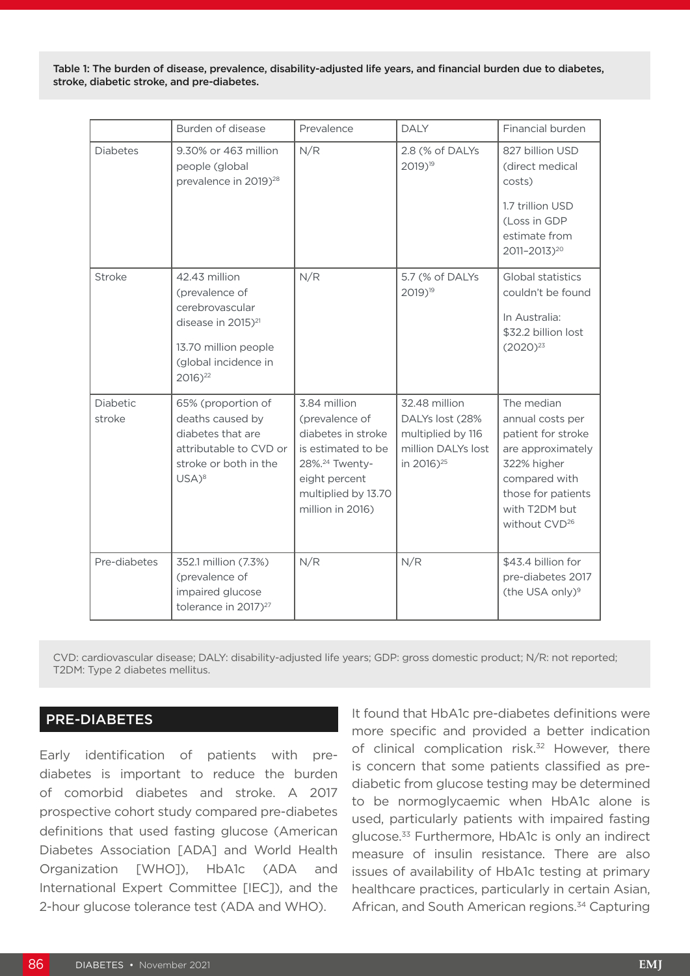Table 1: The burden of disease, prevalence, disability-adjusted life years, and financial burden due to diabetes, stroke, diabetic stroke, and pre-diabetes.

|                    | Burden of disease                                                                                                                                           | Prevalence                                                                                                                                                           | <b>DALY</b>                                                                                           | Financial burden                                                                                                                                                              |
|--------------------|-------------------------------------------------------------------------------------------------------------------------------------------------------------|----------------------------------------------------------------------------------------------------------------------------------------------------------------------|-------------------------------------------------------------------------------------------------------|-------------------------------------------------------------------------------------------------------------------------------------------------------------------------------|
| <b>Diabetes</b>    | 9.30% or 463 million<br>people (global<br>prevalence in 2019) <sup>28</sup>                                                                                 | N/R                                                                                                                                                                  | 2.8 (% of DALYs<br>2019) <sup>19</sup>                                                                | 827 billion USD<br>(direct medical<br>costs)<br>1.7 trillion USD<br>(Loss in GDP<br>estimate from<br>2011-2013) <sup>20</sup>                                                 |
| Stroke             | 42.43 million<br>(prevalence of<br>cerebrovascular<br>disease in 2015) <sup>21</sup><br>13.70 million people<br>(global incidence in<br>2016) <sup>22</sup> | N/R                                                                                                                                                                  | 5.7 (% of DALYs<br>2019) <sup>19</sup>                                                                | Global statistics<br>couldn't be found<br>In Australia:<br>\$32.2 billion lost<br>$(2020)^{23}$                                                                               |
| Diabetic<br>stroke | 65% (proportion of<br>deaths caused by<br>diabetes that are<br>attributable to CVD or<br>stroke or both in the<br>$USA)^8$                                  | 3.84 million<br>(prevalence of<br>diabetes in stroke<br>is estimated to be<br>28%. <sup>24</sup> Twenty-<br>eight percent<br>multiplied by 13.70<br>million in 2016) | 32.48 million<br>DALYs lost (28%<br>multiplied by 116<br>million DALYs lost<br>in 2016) <sup>25</sup> | The median<br>annual costs per<br>patient for stroke<br>are approximately<br>322% higher<br>compared with<br>those for patients<br>with T2DM but<br>without CVD <sup>26</sup> |
| Pre-diabetes       | 352.1 million (7.3%)<br>(prevalence of<br>impaired glucose<br>tolerance in 2017) <sup>27</sup>                                                              | N/R                                                                                                                                                                  | N/R                                                                                                   | \$43.4 billion for<br>pre-diabetes 2017<br>(the USA only) <sup>9</sup>                                                                                                        |

CVD: cardiovascular disease; DALY: disability-adjusted life years; GDP: gross domestic product; N/R: not reported; T2DM: Type 2 diabetes mellitus.

#### PRE-DIABETES

Early identification of patients with prediabetes is important to reduce the burden of comorbid diabetes and stroke. A 2017 prospective cohort study compared pre-diabetes definitions that used fasting glucose (American Diabetes Association [ADA] and World Health Organization [WHO]), HbA1c (ADA and International Expert Committee [IEC]), and the 2-hour glucose tolerance test (ADA and WHO).

It found that HbA1c pre-diabetes definitions were more specific and provided a better indication of clinical complication risk.<sup>32</sup> However, there is concern that some patients classified as prediabetic from glucose testing may be determined to be normoglycaemic when HbA1c alone is used, particularly patients with impaired fasting glucose.<sup>33</sup> Furthermore, HbA1c is only an indirect measure of insulin resistance. There are also issues of availability of HbA1c testing at primary healthcare practices, particularly in certain Asian, African, and South American regions.<sup>34</sup> Capturing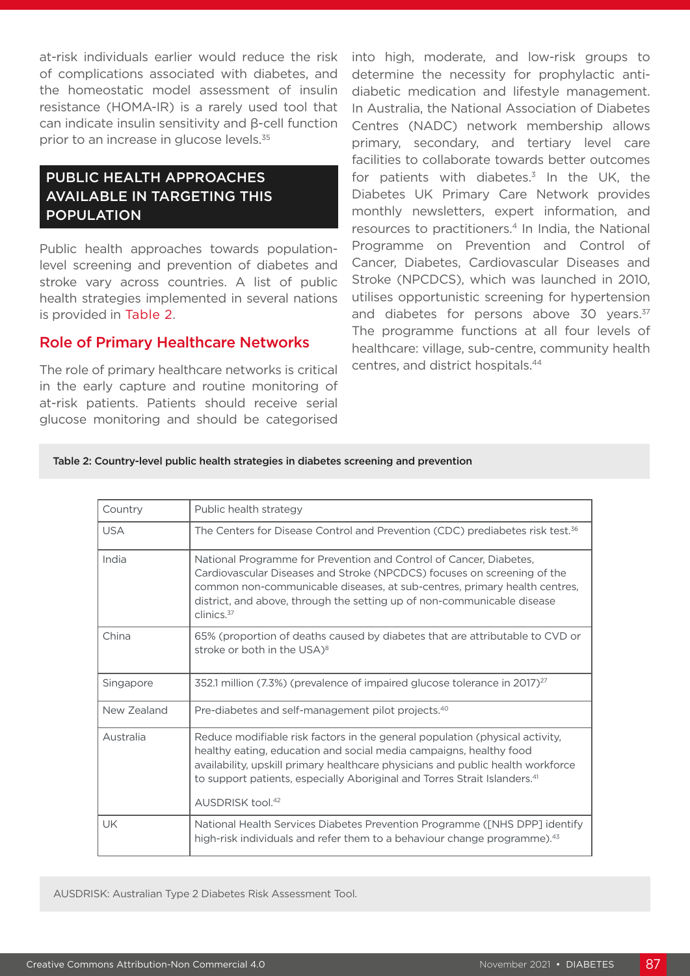at-risk individuals earlier would reduce the risk of complications associated with diabetes, and the homeostatic model assessment of insulin resistance (HOMA-IR) is a rarely used tool that can indicate insulin sensitivity and β-cell function prior to an increase in glucose levels.<sup>35</sup>

## PUBLIC HEALTH APPROACHES AVAILABLE IN TARGETING THIS POPULATION

Public health approaches towards populationlevel screening and prevention of diabetes and stroke vary across countries. A list of public health strategies implemented in several nations is provided in Table 2.

#### Role of Primary Healthcare Networks

The role of primary healthcare networks is critical in the early capture and routine monitoring of at-risk patients. Patients should receive serial glucose monitoring and should be categorised into high, moderate, and low-risk groups to determine the necessity for prophylactic antidiabetic medication and lifestyle management. In Australia, the National Association of Diabetes Centres (NADC) network membership allows primary, secondary, and tertiary level care facilities to collaborate towards better outcomes for patients with diabetes. $3$  In the UK, the Diabetes UK Primary Care Network provides monthly newsletters, expert information, and resources to practitioners.<sup>4</sup> In India, the National Programme on Prevention and Control of Cancer, Diabetes, Cardiovascular Diseases and Stroke (NPCDCS), which was launched in 2010, utilises opportunistic screening for hypertension and diabetes for persons above 30 years.<sup>37</sup> The programme functions at all four levels of healthcare: village, sub-centre, community health centres, and district hospitals.44

#### Table 2: Country-level public health strategies in diabetes screening and prevention

| Country     | Public health strategy                                                                                                                                                                                                                                                                                                                                         |
|-------------|----------------------------------------------------------------------------------------------------------------------------------------------------------------------------------------------------------------------------------------------------------------------------------------------------------------------------------------------------------------|
| <b>USA</b>  | The Centers for Disease Control and Prevention (CDC) prediabetes risk test. <sup>36</sup>                                                                                                                                                                                                                                                                      |
| India       | National Programme for Prevention and Control of Cancer, Diabetes,<br>Cardiovascular Diseases and Stroke (NPCDCS) focuses on screening of the<br>common non-communicable diseases, at sub-centres, primary health centres,<br>district, and above, through the setting up of non-communicable disease<br>clinics. <sup>37</sup>                                |
| China       | 65% (proportion of deaths caused by diabetes that are attributable to CVD or<br>stroke or both in the USA) <sup>8</sup>                                                                                                                                                                                                                                        |
| Singapore   | 352.1 million (7.3%) (prevalence of impaired glucose tolerance in $2017$ ) <sup>27</sup>                                                                                                                                                                                                                                                                       |
| New Zealand | Pre-diabetes and self-management pilot projects. <sup>40</sup>                                                                                                                                                                                                                                                                                                 |
| Australia   | Reduce modifiable risk factors in the general population (physical activity,<br>healthy eating, education and social media campaigns, healthy food<br>availability, upskill primary healthcare physicians and public health workforce<br>to support patients, especially Aboriginal and Torres Strait Islanders. <sup>41</sup><br>AUSDRISK tool. <sup>42</sup> |
| <b>UK</b>   | National Health Services Diabetes Prevention Programme ([NHS DPP] identify<br>high-risk individuals and refer them to a behaviour change programme). <sup>43</sup>                                                                                                                                                                                             |

AUSDRISK: Australian Type 2 Diabetes Risk Assessment Tool.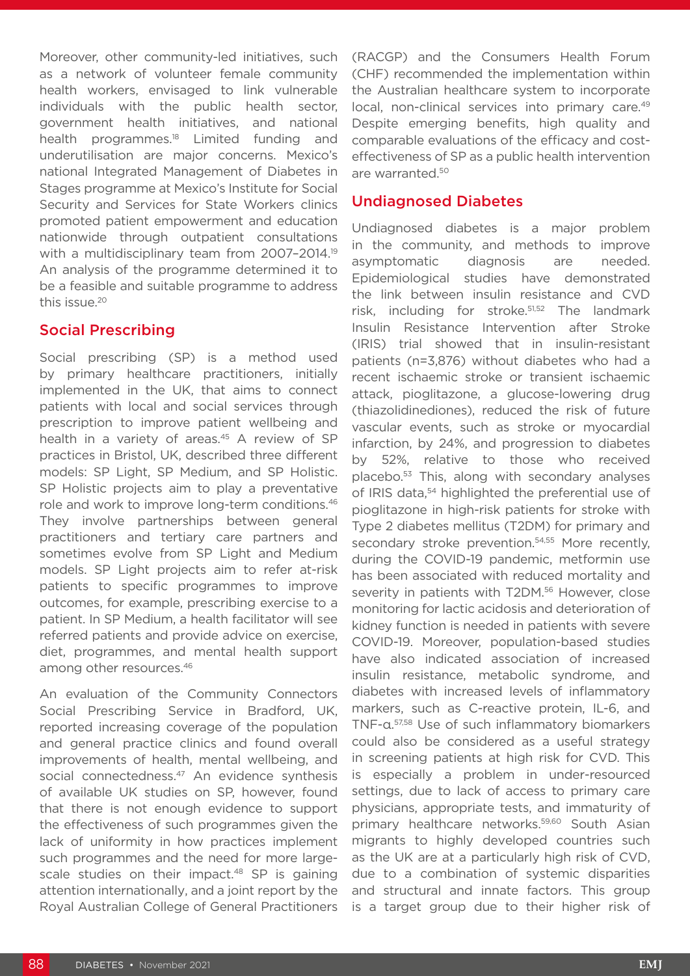Moreover, other community-led initiatives, such as a network of volunteer female community health workers, envisaged to link vulnerable individuals with the public health sector, government health initiatives, and national health programmes.18 Limited funding and underutilisation are major concerns. Mexico's national Integrated Management of Diabetes in Stages programme at Mexico's Institute for Social Security and Services for State Workers clinics promoted patient empowerment and education nationwide through outpatient consultations with a multidisciplinary team from 2007-2014.<sup>19</sup> An analysis of the programme determined it to be a feasible and suitable programme to address this issue.20

## Social Prescribing

Social prescribing (SP) is a method used by primary healthcare practitioners, initially implemented in the UK, that aims to connect patients with local and social services through prescription to improve patient wellbeing and health in a variety of areas.<sup>45</sup> A review of SP practices in Bristol, UK, described three different models: SP Light, SP Medium, and SP Holistic. SP Holistic projects aim to play a preventative role and work to improve long-term conditions.46 They involve partnerships between general practitioners and tertiary care partners and sometimes evolve from SP Light and Medium models. SP Light projects aim to refer at-risk patients to specific programmes to improve outcomes, for example, prescribing exercise to a patient. In SP Medium, a health facilitator will see referred patients and provide advice on exercise, diet, programmes, and mental health support among other resources.46

An evaluation of the Community Connectors Social Prescribing Service in Bradford, UK, reported increasing coverage of the population and general practice clinics and found overall improvements of health, mental wellbeing, and social connectedness.<sup>47</sup> An evidence synthesis of available UK studies on SP, however, found that there is not enough evidence to support the effectiveness of such programmes given the lack of uniformity in how practices implement such programmes and the need for more largescale studies on their impact.<sup>48</sup> SP is gaining attention internationally, and a joint report by the Royal Australian College of General Practitioners (RACGP) and the Consumers Health Forum (CHF) recommended the implementation within the Australian healthcare system to incorporate local, non-clinical services into primary care.<sup>49</sup> Despite emerging benefits, high quality and comparable evaluations of the efficacy and costeffectiveness of SP as a public health intervention are warranted.50

### Undiagnosed Diabetes

Undiagnosed diabetes is a major problem in the community, and methods to improve asymptomatic diagnosis are needed. Epidemiological studies have demonstrated the link between insulin resistance and CVD risk, including for stroke.51,52 The landmark Insulin Resistance Intervention after Stroke (IRIS) trial showed that in insulin-resistant patients (n=3,876) without diabetes who had a recent ischaemic stroke or transient ischaemic attack, pioglitazone, a glucose-lowering drug (thiazolidinediones), reduced the risk of future vascular events, such as stroke or myocardial infarction, by 24%, and progression to diabetes by 52%, relative to those who received placebo.53 This, along with secondary analyses of IRIS data,<sup>54</sup> highlighted the preferential use of pioglitazone in high-risk patients for stroke with Type 2 diabetes mellitus (T2DM) for primary and secondary stroke prevention.<sup>54,55</sup> More recently, during the COVID-19 pandemic, metformin use has been associated with reduced mortality and severity in patients with T2DM.<sup>56</sup> However, close monitoring for lactic acidosis and deterioration of kidney function is needed in patients with severe COVID-19. Moreover, population-based studies have also indicated association of increased insulin resistance, metabolic syndrome, and diabetes with increased levels of inflammatory markers, such as C-reactive protein, IL-6, and TNF-α. 57,58 Use of such inflammatory biomarkers could also be considered as a useful strategy in screening patients at high risk for CVD. This is especially a problem in under-resourced settings, due to lack of access to primary care physicians, appropriate tests, and immaturity of primary healthcare networks.59,60 South Asian migrants to highly developed countries such as the UK are at a particularly high risk of CVD, due to a combination of systemic disparities and structural and innate factors. This group is a target group due to their higher risk of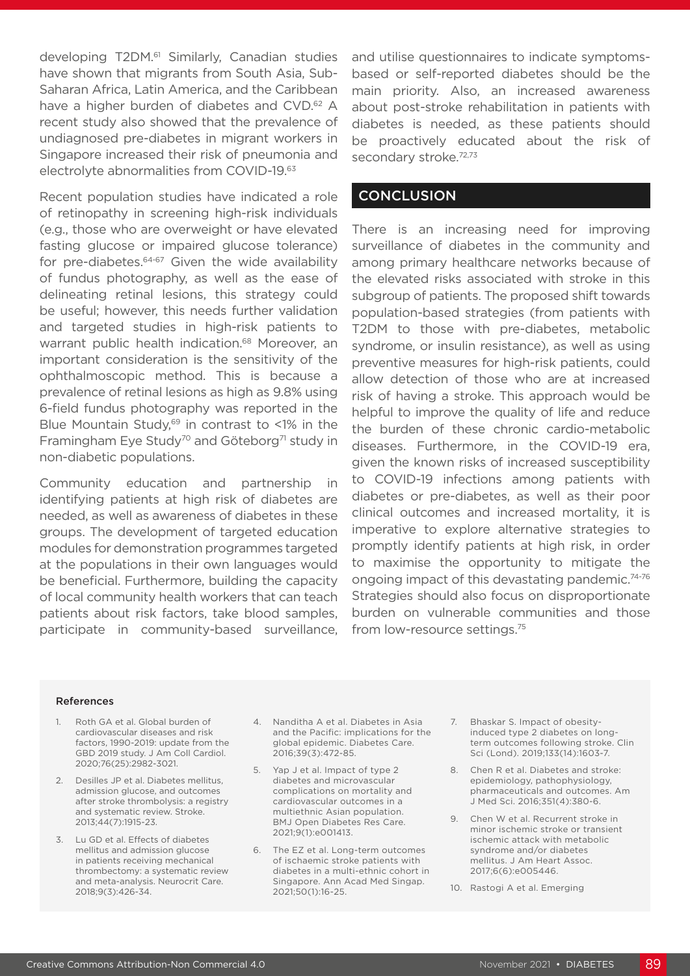developing T2DM.<sup>61</sup> Similarly, Canadian studies have shown that migrants from South Asia, Sub-Saharan Africa, Latin America, and the Caribbean have a higher burden of diabetes and CVD.62 A recent study also showed that the prevalence of undiagnosed pre-diabetes in migrant workers in Singapore increased their risk of pneumonia and electrolyte abnormalities from COVID-19.63

Recent population studies have indicated a role of retinopathy in screening high-risk individuals (e.g., those who are overweight or have elevated fasting glucose or impaired glucose tolerance) for pre-diabetes.64-67 Given the wide availability of fundus photography, as well as the ease of delineating retinal lesions, this strategy could be useful; however, this needs further validation and targeted studies in high-risk patients to warrant public health indication.<sup>68</sup> Moreover, an important consideration is the sensitivity of the ophthalmoscopic method. This is because a prevalence of retinal lesions as high as 9.8% using 6-field fundus photography was reported in the Blue Mountain Study, $69$  in contrast to <1% in the Framingham Eye Study<sup>70</sup> and Göteborg<sup>71</sup> study in non-diabetic populations.

Community education and partnership in identifying patients at high risk of diabetes are needed, as well as awareness of diabetes in these groups. The development of targeted education modules for demonstration programmes targeted at the populations in their own languages would be beneficial. Furthermore, building the capacity of local community health workers that can teach patients about risk factors, take blood samples, participate in community-based surveillance, and utilise questionnaires to indicate symptomsbased or self-reported diabetes should be the main priority. Also, an increased awareness about post-stroke rehabilitation in patients with diabetes is needed, as these patients should be proactively educated about the risk of secondary stroke.<sup>72,73</sup>

#### **CONCLUSION**

There is an increasing need for improving surveillance of diabetes in the community and among primary healthcare networks because of the elevated risks associated with stroke in this subgroup of patients. The proposed shift towards population-based strategies (from patients with T2DM to those with pre-diabetes, metabolic syndrome, or insulin resistance), as well as using preventive measures for high-risk patients, could allow detection of those who are at increased risk of having a stroke. This approach would be helpful to improve the quality of life and reduce the burden of these chronic cardio-metabolic diseases. Furthermore, in the COVID-19 era, given the known risks of increased susceptibility to COVID-19 infections among patients with diabetes or pre-diabetes, as well as their poor clinical outcomes and increased mortality, it is imperative to explore alternative strategies to promptly identify patients at high risk, in order to maximise the opportunity to mitigate the ongoing impact of this devastating pandemic.<sup>74-76</sup> Strategies should also focus on disproportionate burden on vulnerable communities and those from low-resource settings.75

#### References

- 1. Roth GA et al. Global burden of cardiovascular diseases and risk factors, 1990-2019: update from the GBD 2019 study. J Am Coll Cardiol. 2020;76(25):2982-3021.
- 2. Desilles JP et al. Diabetes mellitus, admission glucose, and outcomes after stroke thrombolysis: a registry and systematic review. Stroke. 2013;44(7):1915-23.
- 3. Lu GD et al. Effects of diabetes mellitus and admission glucose in patients receiving mechanical thrombectomy: a systematic review and meta-analysis. Neurocrit Care. 2018;9(3):426-34.
- 4. Nanditha A et al. Diabetes in Asia and the Pacific: implications for the global epidemic. Diabetes Care. 2016;39(3):472-85.
- 5. Yap J et al. Impact of type 2 diabetes and microvascular complications on mortality and cardiovascular outcomes in a multiethnic Asian population. BMJ Open Diabetes Res Care. 2021;9(1):e001413.
- 6. The EZ et al. Long-term outcomes of ischaemic stroke patients with diabetes in a multi-ethnic cohort in Singapore. Ann Acad Med Singap. 2021;50(1):16-25.
- 7. Bhaskar S. Impact of obesityinduced type 2 diabetes on longterm outcomes following stroke. Clin Sci (Lond). 2019;133(14):1603-7.
- 8. Chen R et al. Diabetes and stroke: epidemiology, pathophysiology, pharmaceuticals and outcomes. Am J Med Sci. 2016;351(4):380-6.
- 9. Chen W et al. Recurrent stroke in minor ischemic stroke or transient ischemic attack with metabolic syndrome and/or diabetes mellitus. J Am Heart Assoc. 2017;6(6):e005446.
- 10. Rastogi A et al. Emerging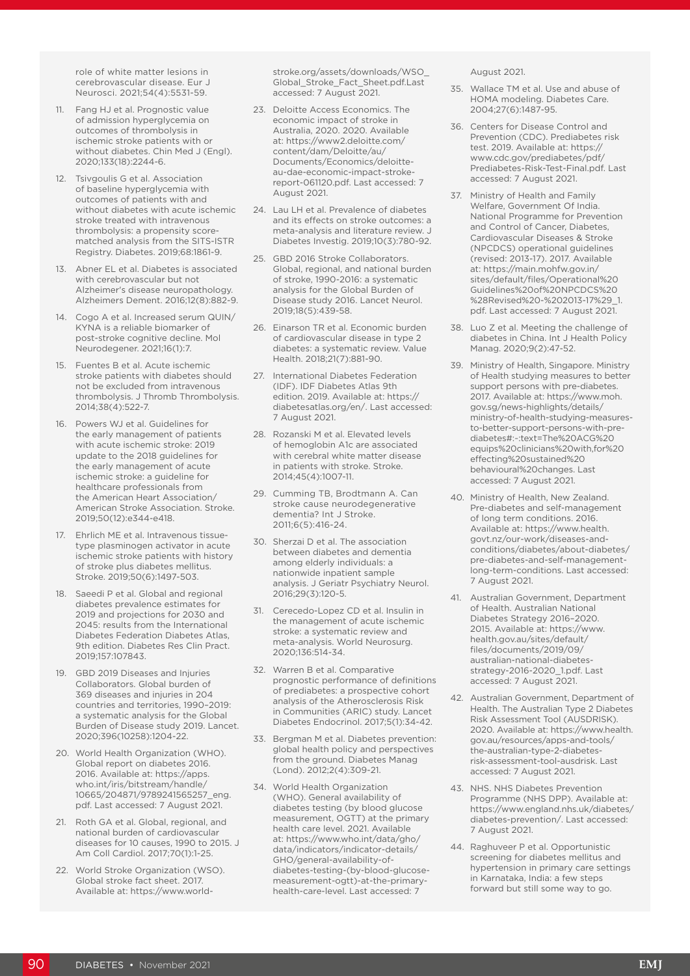role of white matter lesions in cerebrovascular disease. Eur J Neurosci. 2021;54(4):5531-59.

- 11. Fang HJ et al. Prognostic value of admission hyperglycemia on outcomes of thrombolysis in ischemic stroke patients with or without diabetes. Chin Med J (Engl). 2020;133(18):2244-6.
- 12. Tsivgoulis G et al. Association of baseline hyperglycemia with outcomes of patients with and without diabetes with acute ischemic stroke treated with intravenous thrombolysis: a propensity scorematched analysis from the SITS-ISTR Registry. Diabetes. 2019;68:1861-9.
- 13. Abner EL et al. Diabetes is associated with cerebrovascular but not Alzheimer's disease neuropathology. Alzheimers Dement. 2016;12(8):882-9.
- 14. Cogo A et al. Increased serum QUIN/ KYNA is a reliable biomarker of post-stroke cognitive decline. Mol Neurodegener. 2021;16(1):7.
- 15. Fuentes B et al. Acute ischemic stroke patients with diabetes should not be excluded from intravenous thrombolysis. J Thromb Thrombolysis. 2014;38(4):522-7.
- 16. Powers WJ et al. Guidelines for the early management of patients with acute ischemic stroke: 2019 update to the 2018 guidelines for the early management of acute ischemic stroke: a guideline for healthcare professionals from the American Heart Association/ American Stroke Association. Stroke. 2019;50(12):e344-e418.
- 17. Ehrlich ME et al. Intravenous tissuetype plasminogen activator in acute ischemic stroke patients with history of stroke plus diabetes mellitus. Stroke. 2019;50(6):1497-503.
- 18. Saeedi P et al. Global and regional diabetes prevalence estimates for 2019 and projections for 2030 and 2045: results from the International Diabetes Federation Diabetes Atlas, 9th edition. Diabetes Res Clin Pract. 2019;157:107843.
- 19. GBD 2019 Diseases and Injuries Collaborators. Global burden of 369 diseases and injuries in 204 countries and territories, 1990–2019: a systematic analysis for the Global Burden of Disease study 2019. Lancet. 2020;396(10258):1204-22.
- 20. World Health Organization (WHO). Global report on diabetes 2016. 2016. Available at: https://apps. who.int/iris/bitstream/handle/ 10665/204871/9789241565257\_eng. pdf. Last accessed: 7 August 2021.
- 21. Roth GA et al. Global, regional, and national burden of cardiovascular diseases for 10 causes, 1990 to 2015. J Am Coll Cardiol. 2017;70(1):1-25.
- 22. World Stroke Organization (WSO). Global stroke fact sheet. 2017. Available at: https://www.world-

stroke.org/assets/downloads/WSO\_ Global\_Stroke\_Fact\_Sheet.pdf.Last accessed: 7 August 2021.

- 23. Deloitte Access Economics. The economic impact of stroke in Australia, 2020. 2020. Available at: https://www2.deloitte.com/ content/dam/Deloitte/au/ Documents/Economics/deloitteau-dae-economic-impact-strokereport-061120.pdf. Last accessed: 7 August 2021.
- 24. Lau LH et al. Prevalence of diabetes and its effects on stroke outcomes: a meta-analysis and literature review. J Diabetes Investig. 2019;10(3):780-92.
- 25. GBD 2016 Stroke Collaborators. Global, regional, and national burden of stroke, 1990-2016: a systematic analysis for the Global Burden of Disease study 2016. Lancet Neurol. 2019;18(5):439-58.
- 26. Einarson TR et al. Economic burden of cardiovascular disease in type 2 diabetes: a systematic review. Value Health. 2018;21(7):881-90.
- 27. International Diabetes Federation (IDF). IDF Diabetes Atlas 9th edition. 2019. Available at: https:// diabetesatlas.org/en/. Last accessed: 7 August 2021.
- 28. Rozanski M et al. Elevated levels of hemoglobin A1c are associated with cerebral white matter disease in patients with stroke. Stroke. 2014;45(4):1007-11.
- 29. Cumming TB, Brodtmann A. Can stroke cause neurodegenerative dementia? Int J Stroke. 2011;6(5):416-24.
- 30. Sherzai D et al. The association between diabetes and dementia among elderly individuals: a nationwide inpatient sample analysis. J Geriatr Psychiatry Neurol. 2016;29(3):120-5.
- 31. Cerecedo-Lopez CD et al. Insulin in the management of acute ischemic stroke: a systematic review and meta-analysis. World Neurosurg. 2020;136:514-34.
- 32. Warren B et al. Comparative prognostic performance of definitions of prediabetes: a prospective cohort analysis of the Atherosclerosis Risk in Communities (ARIC) study. Lancet Diabetes Endocrinol. 2017;5(1):34-42.
- 33. Bergman M et al. Diabetes prevention: global health policy and perspectives from the ground. Diabetes Manag (Lond). 2012;2(4):309-21.
- 34. World Health Organization (WHO). General availability of diabetes testing (by blood glucose measurement, OGTT) at the primary health care level. 2021. Available at: https://www.who.int/data/gho/ data/indicators/indicator-details/ GHO/general-availability-ofdiabetes-testing-(by-blood-glucosemeasurement-ogtt)-at-the-primaryhealth-care-level. Last accessed: 7

August 2021.

- 35. Wallace TM et al. Use and abuse of HOMA modeling. Diabetes Care. 2004;27(6):1487-95.
- 36. Centers for Disease Control and Prevention (CDC). Prediabetes risk test. 2019. Available at: https:// www.cdc.gov/prediabetes/pdf/ Prediabetes-Risk-Test-Final.pdf. Last accessed: 7 August 2021.
- 37. Ministry of Health and Family Welfare, Government Of India. National Programme for Prevention and Control of Cancer, Diabetes, Cardiovascular Diseases & Stroke (NPCDCS) operational guidelines (revised: 2013-17). 2017. Available at: https://main.mohfw.gov.in/ sites/default/files/Operational%20 Guidelines%20of%20NPCDCS%20 %28Revised%20-%202013-17%29\_1. pdf. Last accessed: 7 August 2021.
- 38. Luo Z et al. Meeting the challenge of diabetes in China. Int J Health Policy Manag. 2020;9(2):47-52.
- 39. Ministry of Health, Singapore. Ministry of Health studying measures to better support persons with pre-diabetes. 2017. Available at: https://www.moh. gov.sg/news-highlights/details/ ministry-of-health-studying-measuresto-better-support-persons-with-prediabetes#:~:text=The%20ACG%20 equips%20clinicians%20with,for%20 effecting%20sustained%20 behavioural%20changes. Last accessed: 7 August 2021.
- 40. Ministry of Health, New Zealand. Pre-diabetes and self-management of long term conditions. 2016. Available at: https://www.health. govt.nz/our-work/diseases-andconditions/diabetes/about-diabetes/ pre-diabetes-and-self-managementlong-term-conditions. Last accessed: 7 August 2021.
- 41. Australian Government, Department of Health. Australian National Diabetes Strategy 2016–2020. 2015. Available at: https://www. health.gov.au/sites/default/ files/documents/2019/09/ australian-national-diabetesstrategy-2016-2020\_1.pdf. Last accessed: 7 August 2021.
- 42. Australian Government, Department of Health. The Australian Type 2 Diabetes Risk Assessment Tool (AUSDRISK). 2020. Available at: https://www.health. gov.au/resources/apps-and-tools/ the-australian-type-2-diabetesrisk-assessment-tool-ausdrisk. Last accessed: 7 August 2021.
- 43. NHS. NHS Diabetes Prevention Programme (NHS DPP). Available at: https://www.england.nhs.uk/diabetes/ diabetes-prevention/. Last accessed: 7 August 2021.
- 44. Raghuveer P et al. Opportunistic screening for diabetes mellitus and hypertension in primary care settings in Karnataka, India: a few steps forward but still some way to go.